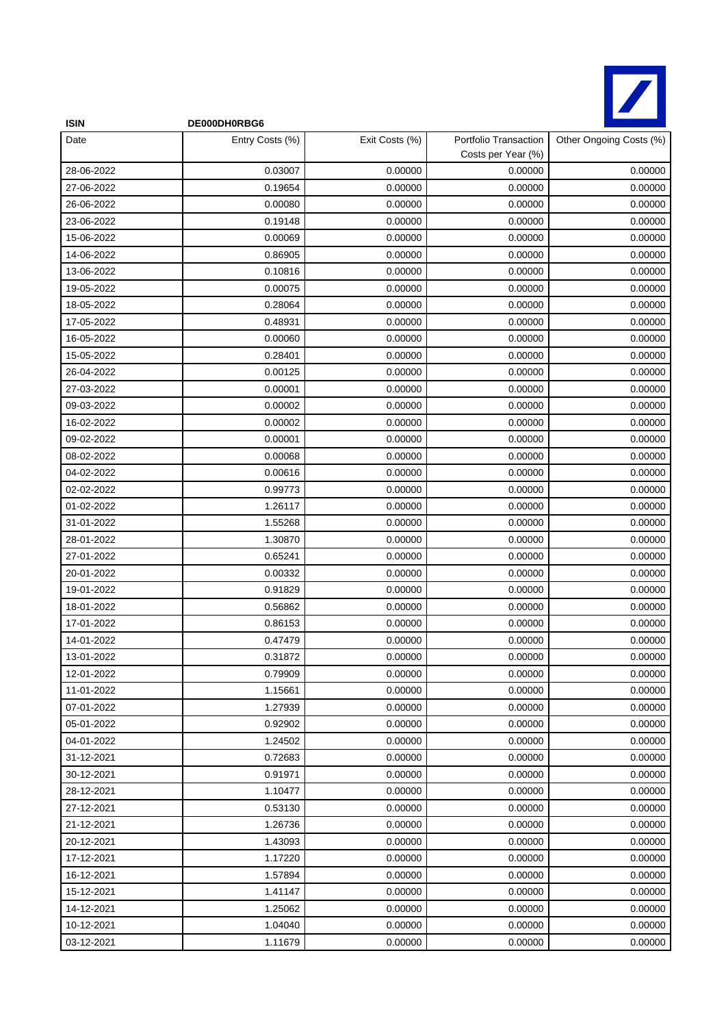

| <b>ISIN</b> | DE000DH0RBG6    |                |                                             |                         |
|-------------|-----------------|----------------|---------------------------------------------|-------------------------|
| Date        | Entry Costs (%) | Exit Costs (%) | Portfolio Transaction<br>Costs per Year (%) | Other Ongoing Costs (%) |
| 28-06-2022  | 0.03007         | 0.00000        | 0.00000                                     | 0.00000                 |
| 27-06-2022  | 0.19654         | 0.00000        | 0.00000                                     | 0.00000                 |
| 26-06-2022  | 0.00080         | 0.00000        | 0.00000                                     | 0.00000                 |
| 23-06-2022  | 0.19148         | 0.00000        | 0.00000                                     | 0.00000                 |
| 15-06-2022  | 0.00069         | 0.00000        | 0.00000                                     | 0.00000                 |
| 14-06-2022  | 0.86905         | 0.00000        | 0.00000                                     | 0.00000                 |
| 13-06-2022  | 0.10816         | 0.00000        | 0.00000                                     | 0.00000                 |
| 19-05-2022  | 0.00075         | 0.00000        | 0.00000                                     | 0.00000                 |
| 18-05-2022  | 0.28064         | 0.00000        | 0.00000                                     | 0.00000                 |
| 17-05-2022  | 0.48931         | 0.00000        | 0.00000                                     | 0.00000                 |
| 16-05-2022  | 0.00060         | 0.00000        | 0.00000                                     | 0.00000                 |
| 15-05-2022  | 0.28401         | 0.00000        | 0.00000                                     | 0.00000                 |
| 26-04-2022  | 0.00125         | 0.00000        | 0.00000                                     | 0.00000                 |
| 27-03-2022  | 0.00001         | 0.00000        | 0.00000                                     | 0.00000                 |
| 09-03-2022  | 0.00002         | 0.00000        | 0.00000                                     | 0.00000                 |
| 16-02-2022  | 0.00002         | 0.00000        | 0.00000                                     | 0.00000                 |
| 09-02-2022  | 0.00001         | 0.00000        | 0.00000                                     | 0.00000                 |
| 08-02-2022  | 0.00068         | 0.00000        | 0.00000                                     | 0.00000                 |
| 04-02-2022  | 0.00616         | 0.00000        | 0.00000                                     | 0.00000                 |
| 02-02-2022  | 0.99773         | 0.00000        | 0.00000                                     | 0.00000                 |
| 01-02-2022  | 1.26117         | 0.00000        | 0.00000                                     | 0.00000                 |
| 31-01-2022  | 1.55268         | 0.00000        | 0.00000                                     | 0.00000                 |
| 28-01-2022  | 1.30870         | 0.00000        | 0.00000                                     | 0.00000                 |
| 27-01-2022  | 0.65241         | 0.00000        | 0.00000                                     | 0.00000                 |
| 20-01-2022  | 0.00332         | 0.00000        | 0.00000                                     | 0.00000                 |
| 19-01-2022  | 0.91829         | 0.00000        | 0.00000                                     | 0.00000                 |
| 18-01-2022  | 0.56862         | 0.00000        | 0.00000                                     | 0.00000                 |
| 17-01-2022  | 0.86153         | 0.00000        | 0.00000                                     | 0.00000                 |
| 14-01-2022  | 0.47479         | 0.00000        | 0.00000                                     | 0.00000                 |
| 13-01-2022  | 0.31872         | 0.00000        | 0.00000                                     | 0.00000                 |
| 12-01-2022  | 0.79909         | 0.00000        | 0.00000                                     | 0.00000                 |
| 11-01-2022  | 1.15661         | 0.00000        | 0.00000                                     | 0.00000                 |
| 07-01-2022  | 1.27939         | 0.00000        | 0.00000                                     | 0.00000                 |
| 05-01-2022  | 0.92902         | 0.00000        | 0.00000                                     | 0.00000                 |
| 04-01-2022  | 1.24502         | 0.00000        | 0.00000                                     | 0.00000                 |
| 31-12-2021  | 0.72683         | 0.00000        | 0.00000                                     | 0.00000                 |
| 30-12-2021  | 0.91971         | 0.00000        | 0.00000                                     | 0.00000                 |
| 28-12-2021  | 1.10477         | 0.00000        | 0.00000                                     | 0.00000                 |
| 27-12-2021  | 0.53130         | 0.00000        | 0.00000                                     | 0.00000                 |
| 21-12-2021  | 1.26736         | 0.00000        | 0.00000                                     | 0.00000                 |
| 20-12-2021  | 1.43093         | 0.00000        | 0.00000                                     | 0.00000                 |
| 17-12-2021  | 1.17220         | 0.00000        | 0.00000                                     | 0.00000                 |
| 16-12-2021  | 1.57894         | 0.00000        | 0.00000                                     | 0.00000                 |
| 15-12-2021  | 1.41147         | 0.00000        | 0.00000                                     | 0.00000                 |
| 14-12-2021  | 1.25062         | 0.00000        | 0.00000                                     | 0.00000                 |
| 10-12-2021  | 1.04040         | 0.00000        | 0.00000                                     | 0.00000                 |
| 03-12-2021  | 1.11679         | 0.00000        | 0.00000                                     | 0.00000                 |